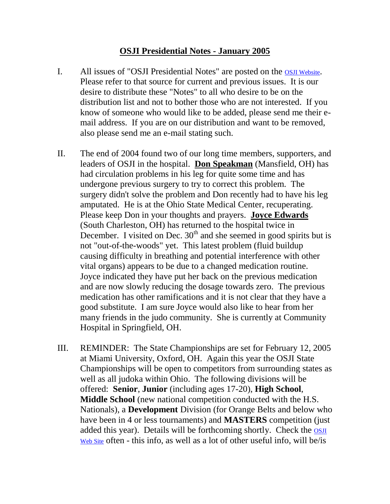## **OSJI Presidential Notes - January 2005**

- I. All issues of "OSJI Presidential Notes" are posted on the *OSJI* Website. Please refer to that source for current and previous issues. It is our desire to distribute these "Notes" to all who desire to be on the distribution list and not to bother those who are not interested. If you know of someone who would like to be added, please send me their email address. If you are on our distribution and want to be removed, also please send me an e-mail stating such.
- II. The end of 2004 found two of our long time members, supporters, and leaders of OSJI in the hospital. **Don Speakman** (Mansfield, OH) has had circulation problems in his leg for quite some time and has undergone previous surgery to try to correct this problem. The surgery didn't solve the problem and Don recently had to have his leg amputated. He is at the Ohio State Medical Center, recuperating. Please keep Don in your thoughts and prayers. **Joyce Edwards** (South Charleston, OH) has returned to the hospital twice in December. I visited on Dec.  $30<sup>th</sup>$  and she seemed in good spirits but is not "out-of-the-woods" yet. This latest problem (fluid buildup causing difficulty in breathing and potential interference with other vital organs) appears to be due to a changed medication routine. Joyce indicated they have put her back on the previous medication and are now slowly reducing the dosage towards zero. The previous medication has other ramifications and it is not clear that they have a good substitute. I am sure Joyce would also like to hear from her many friends in the judo community. She is currently at Community Hospital in Springfield, OH.
- III. REMINDER: The State Championships are set for February 12, 2005 at Miami University, Oxford, OH. Again this year the OSJI State Championships will be open to competitors from surrounding states as well as all judoka within Ohio. The following divisions will be offered: **Senior**, **Junior** (including ages 17-20), **High School**, **Middle School** (new national competition conducted with the H.S. Nationals), a **Development** Division (for Orange Belts and below who have been in 4 or less tournaments) and **MASTERS** competition (just added this year). Details will be forthcoming shortly. Check the **OSJI** [Web Site](http://www.ohiojudo.org/) often - this info, as well as a lot of other useful info, will be/is